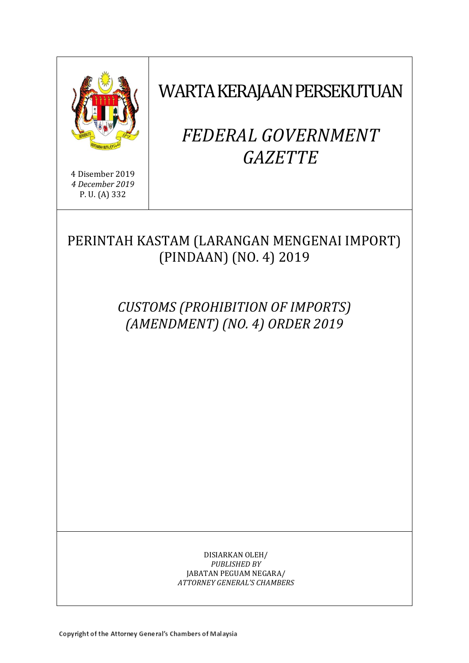

4 Disember 2019 *4 December 2019* P. U. (A) 332

WARTA KERAJAAN PERSEKUTUAN

# *FEDERAL GOVERNMENT GAZETTE*

PERINTAH KASTAM (LARANGAN MENGENAI IMPORT) (PINDAAN) (NO. 4) 2019

> *CUSTOMS (PROHIBITION OF IMPORTS) (AMENDMENT) (NO. 4) ORDER 2019*

> > DISIARKAN OLEH/ *PUBLISHED BY* JABATAN PEGUAM NEGARA/ *ATTORNEY GENERAL'S CHAMBERS*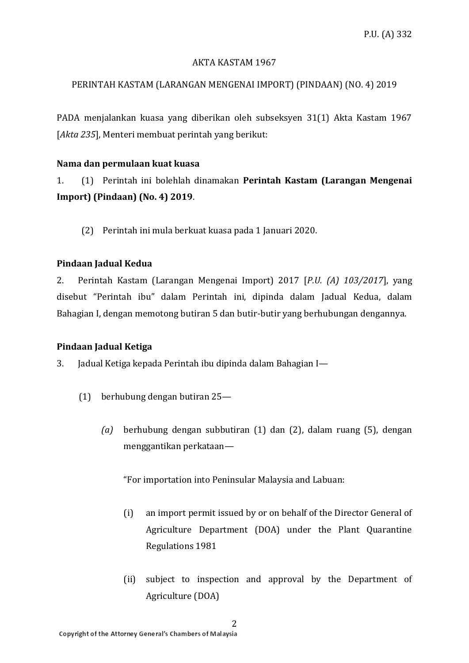## AKTA KASTAM 1967

# PERINTAH KASTAM (LARANGAN MENGENAI IMPORT) (PINDAAN) (NO. 4) 2019

PADA menjalankan kuasa yang diberikan oleh subseksyen 31(1) Akta Kastam 1967 [*Akta 235*], Menteri membuat perintah yang berikut:

## **Nama dan permulaan kuat kuasa**

1. (1) Perintah ini bolehlah dinamakan **Perintah Kastam (Larangan Mengenai Import) (Pindaan) (No. 4) 2019**.

(2) Perintah ini mula berkuat kuasa pada 1 Januari 2020.

# **Pindaan Jadual Kedua**

2. Perintah Kastam (Larangan Mengenai Import) 2017 [*P.U. (A) 103/2017*], yang disebut "Perintah ibu" dalam Perintah ini, dipinda dalam Jadual Kedua, dalam Bahagian I, dengan memotong butiran 5 dan butir-butir yang berhubungan dengannya.

# **Pindaan Jadual Ketiga**

3. Jadual Ketiga kepada Perintah ibu dipinda dalam Bahagian I—

- (1) berhubung dengan butiran 25—
	- *(a)* berhubung dengan subbutiran (1) dan (2), dalam ruang (5), dengan menggantikan perkataan—

- (i) an import permit issued by or on behalf of the Director General of Agriculture Department (DOA) under the Plant Quarantine Regulations 1981
- (ii) subject to inspection and approval by the Department of Agriculture (DOA)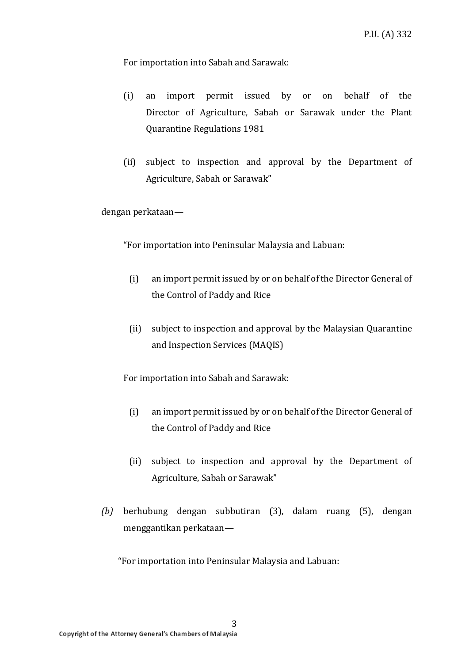For importation into Sabah and Sarawak:

- (i) an import permit issued by or on behalf of the Director of Agriculture, Sabah or Sarawak under the Plant Quarantine Regulations 1981
- (ii) subject to inspection and approval by the Department of Agriculture, Sabah or Sarawak"

dengan perkataan—

"For importation into Peninsular Malaysia and Labuan:

- (i) an import permit issued by or on behalf of the Director General of the Control of Paddy and Rice
- (ii) subject to inspection and approval by the Malaysian Quarantine and Inspection Services (MAQIS)

For importation into Sabah and Sarawak:

- (i) an import permit issued by or on behalf of the Director General of the Control of Paddy and Rice
- (ii) subject to inspection and approval by the Department of Agriculture, Sabah or Sarawak"
- *(b)* berhubung dengan subbutiran (3), dalam ruang (5), dengan menggantikan perkataan—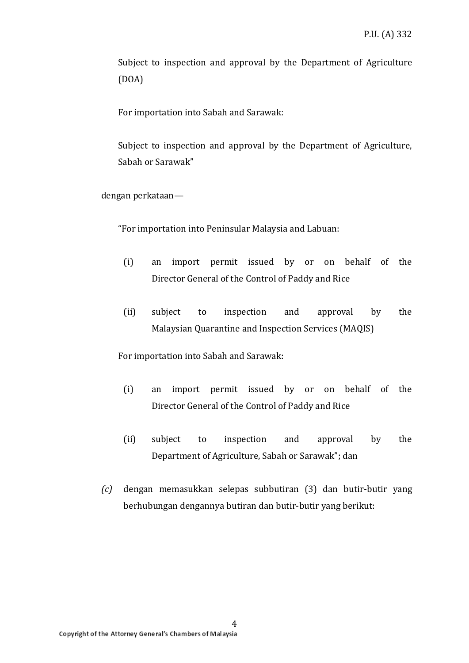Subject to inspection and approval by the Department of Agriculture (DOA)

For importation into Sabah and Sarawak:

Subject to inspection and approval by the Department of Agriculture, Sabah or Sarawak"

dengan perkataan—

"For importation into Peninsular Malaysia and Labuan:

- (i) an import permit issued by or on behalf of the Director General of the Control of Paddy and Rice
- (ii) subject to inspection and approval by the Malaysian Quarantine and Inspection Services (MAQIS)

For importation into Sabah and Sarawak:

- (i) an import permit issued by or on behalf of the Director General of the Control of Paddy and Rice
- (ii) subject to inspection and approval by the Department of Agriculture, Sabah or Sarawak"; dan
- *(c)* dengan memasukkan selepas subbutiran (3) dan butir-butir yang berhubungan dengannya butiran dan butir-butir yang berikut: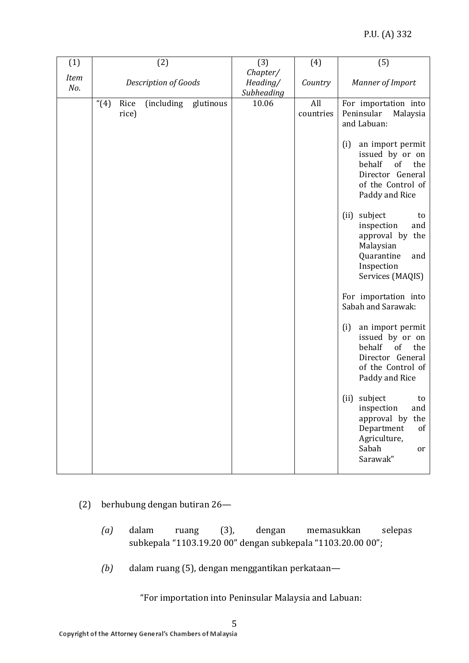| (1)         |                      | (2)                  | (3)                                | (4)              | (5)                                                                                                                                                                                                                                                                                                                                                                              |
|-------------|----------------------|----------------------|------------------------------------|------------------|----------------------------------------------------------------------------------------------------------------------------------------------------------------------------------------------------------------------------------------------------------------------------------------------------------------------------------------------------------------------------------|
| Item<br>No. |                      | Description of Goods | Chapter/<br>Heading/<br>Subheading | Country          | Manner of Import                                                                                                                                                                                                                                                                                                                                                                 |
|             | (4)<br>Rice<br>rice) | (including glutinous | 10.06                              | All<br>countries | For importation into<br>Peninsular<br>Malaysia<br>and Labuan:<br>(i)<br>an import permit<br>issued by or on<br>behalf<br>of<br>the<br>Director General<br>of the Control of<br>Paddy and Rice<br>subject<br>(ii)<br>to<br>inspection<br>and<br>approval by the<br>Malaysian<br>Quarantine<br>and<br>Inspection<br>Services (MAQIS)<br>For importation into<br>Sabah and Sarawak: |
|             |                      |                      |                                    |                  | (i)<br>an import permit<br>issued by or on<br>behalf<br>of<br>the<br>Director General<br>of the Control of<br>Paddy and Rice                                                                                                                                                                                                                                                     |
|             |                      |                      |                                    |                  | (ii) subject<br>to<br>and<br>inspection<br>approval by<br>the<br>Department<br>of<br>Agriculture,<br>Sabah<br>or<br>Sarawak"                                                                                                                                                                                                                                                     |

- (2) berhubung dengan butiran 26—
	- *(a)* dalam ruang (3), dengan memasukkan selepas subkepala "1103.19.20 00" dengan subkepala "1103.20.00 00";
	- *(b)* dalam ruang (5), dengan menggantikan perkataan—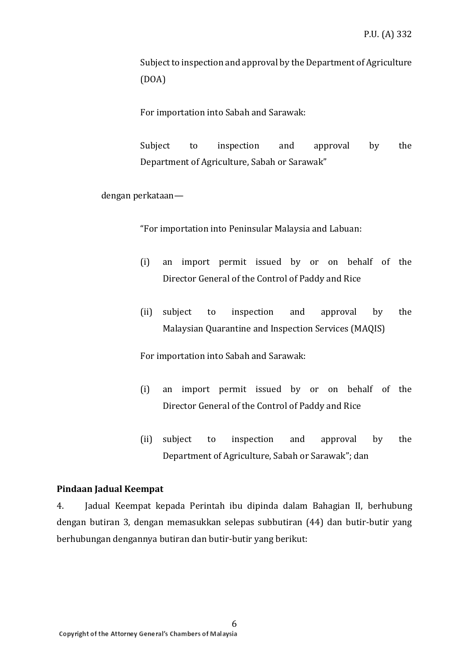Subject to inspection and approval by the Department of Agriculture (DOA)

For importation into Sabah and Sarawak:

Subject to inspection and approval by the Department of Agriculture, Sabah or Sarawak"

dengan perkataan—

"For importation into Peninsular Malaysia and Labuan:

- (i) an import permit issued by or on behalf of the Director General of the Control of Paddy and Rice
- (ii) subject to inspection and approval by the Malaysian Quarantine and Inspection Services (MAQIS)

For importation into Sabah and Sarawak:

- (i) an import permit issued by or on behalf of the Director General of the Control of Paddy and Rice
- (ii) subject to inspection and approval by the Department of Agriculture, Sabah or Sarawak"; dan

#### **Pindaan Jadual Keempat**

4. Jadual Keempat kepada Perintah ibu dipinda dalam Bahagian II, berhubung dengan butiran 3, dengan memasukkan selepas subbutiran (44) dan butir-butir yang berhubungan dengannya butiran dan butir-butir yang berikut: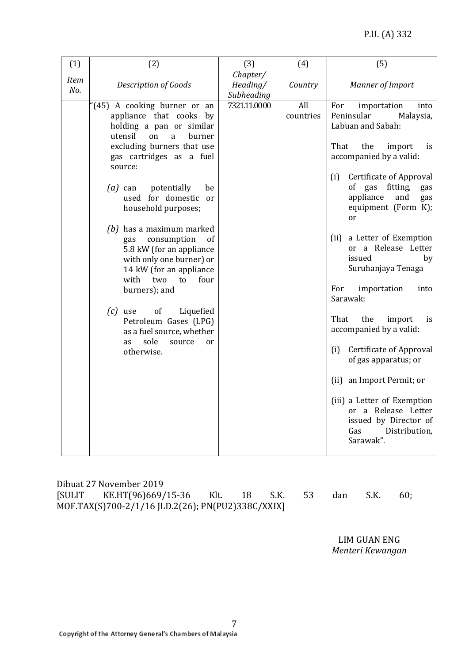| (1)                | (2)                                                                                                                                                                                                                                                                                                                                                                                                                                                                                                                                                           | (3)                                | (4)              | (5)                                                                                                                                                                                                                                                                                                                                                                                                                                                                               |
|--------------------|---------------------------------------------------------------------------------------------------------------------------------------------------------------------------------------------------------------------------------------------------------------------------------------------------------------------------------------------------------------------------------------------------------------------------------------------------------------------------------------------------------------------------------------------------------------|------------------------------------|------------------|-----------------------------------------------------------------------------------------------------------------------------------------------------------------------------------------------------------------------------------------------------------------------------------------------------------------------------------------------------------------------------------------------------------------------------------------------------------------------------------|
| <b>Item</b><br>No. | <b>Description of Goods</b>                                                                                                                                                                                                                                                                                                                                                                                                                                                                                                                                   | Chapter/<br>Heading/<br>Subheading | Country          | Manner of Import                                                                                                                                                                                                                                                                                                                                                                                                                                                                  |
|                    | "(45) A cooking burner or an<br>appliance that cooks by<br>holding a pan or similar<br>utensil<br>on<br>a<br>burner<br>excluding burners that use<br>gas cartridges as a fuel<br>source:<br>potentially<br>$(a)$ can<br>be<br>used for domestic<br>or<br>household purposes;<br>$(b)$ has a maximum marked<br>consumption<br>of<br>gas<br>5.8 kW (for an appliance<br>with only one burner) or<br>14 kW (for an appliance<br>with<br>four<br>two<br>to<br>burners); and<br>$(c)$ use<br>of<br>Liquefied<br>Petroleum Gases (LPG)<br>as a fuel source, whether | 7321.11.0000                       | All<br>countries | For<br>importation<br>into<br>Peninsular<br>Malaysia,<br>Labuan and Sabah:<br>That<br>the<br>import<br>is.<br>accompanied by a valid:<br><b>Certificate of Approval</b><br>(i)<br>of gas<br>fitting,<br>gas<br>appliance<br>and<br>gas<br>equipment (Form K);<br>or<br>(ii) a Letter of Exemption<br>a Release Letter<br><sub>or</sub><br>issued<br>by<br>Suruhanjaya Tenaga<br>For<br>importation<br>into<br>Sarawak:<br>That<br>the<br>import<br>is.<br>accompanied by a valid: |
|                    | sole<br>source<br>as<br><sub>or</sub><br>otherwise.                                                                                                                                                                                                                                                                                                                                                                                                                                                                                                           |                                    |                  | Certificate of Approval<br>(i)<br>of gas apparatus; or<br>an Import Permit; or<br>(ii)<br>(iii) a Letter of Exemption<br>or a Release Letter<br>issued by Director of<br>Distribution,<br>Gas<br>Sarawak".                                                                                                                                                                                                                                                                        |

Dibuat 27 November 2019 [SULIT KE.HT(96)669/15-36 Klt. 18 S.K. 53 dan S.K. 60; MOF.TAX(S)700-2/1/16 JLD.2(26); PN(PU2)338C/XXIX]

LIM GUAN ENG *Menteri Kewangan*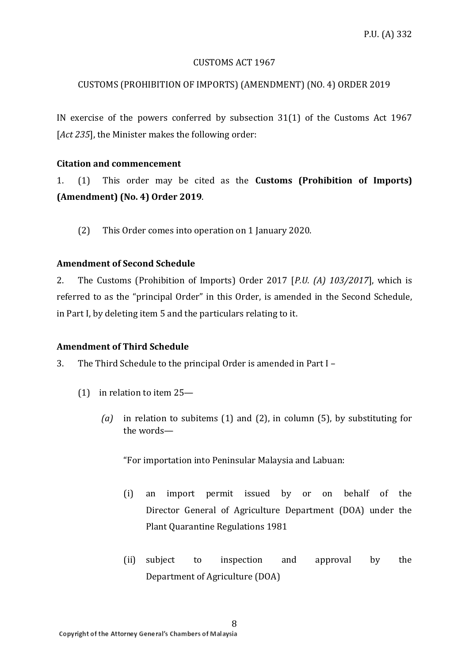#### CUSTOMS ACT 1967

# CUSTOMS (PROHIBITION OF IMPORTS) (AMENDMENT) (NO. 4) ORDER 2019

IN exercise of the powers conferred by subsection 31(1) of the Customs Act 1967 [*Act 235*], the Minister makes the following order:

#### **Citation and commencement**

1. (1) This order may be cited as the **Customs (Prohibition of Imports) (Amendment) (No. 4) Order 2019**.

(2) This Order comes into operation on 1 January 2020.

## **Amendment of Second Schedule**

2. The Customs (Prohibition of Imports) Order 2017 [*P.U. (A) 103/2017*], which is referred to as the "principal Order" in this Order, is amended in the Second Schedule, in Part I, by deleting item 5 and the particulars relating to it.

# **Amendment of Third Schedule**

3. The Third Schedule to the principal Order is amended in Part I –

- (1) in relation to item 25—
	- *(a)* in relation to subitems (1) and (2), in column (5), by substituting for the words—

- (i) an import permit issued by or on behalf of the Director General of Agriculture Department (DOA) under the Plant Quarantine Regulations 1981
- (ii) subject to inspection and approval by the Department of Agriculture (DOA)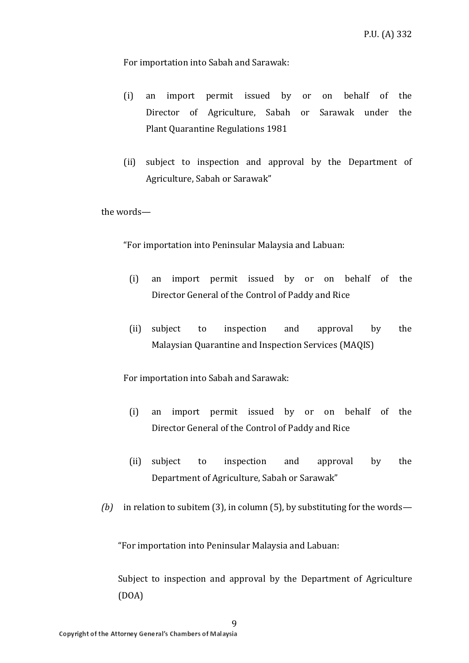For importation into Sabah and Sarawak:

- (i) an import permit issued by or on behalf of the Director of Agriculture, Sabah or Sarawak under the Plant Quarantine Regulations 1981
- (ii) subject to inspection and approval by the Department of Agriculture, Sabah or Sarawak"

the words—

"For importation into Peninsular Malaysia and Labuan:

- (i) an import permit issued by or on behalf of the Director General of the Control of Paddy and Rice
- (ii) subject to inspection and approval by the Malaysian Quarantine and Inspection Services (MAQIS)

For importation into Sabah and Sarawak:

- (i) an import permit issued by or on behalf of the Director General of the Control of Paddy and Rice
- (ii) subject to inspection and approval by the Department of Agriculture, Sabah or Sarawak"
- *(b)* in relation to subitem (3), in column (5), by substituting for the words—

"For importation into Peninsular Malaysia and Labuan:

9

Subject to inspection and approval by the Department of Agriculture (DOA)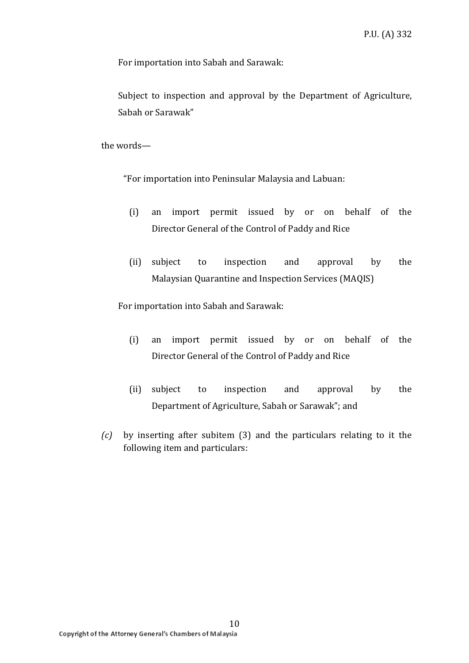For importation into Sabah and Sarawak:

Subject to inspection and approval by the Department of Agriculture, Sabah or Sarawak"

the words—

"For importation into Peninsular Malaysia and Labuan:

- (i) an import permit issued by or on behalf of the Director General of the Control of Paddy and Rice
- (ii) subject to inspection and approval by the Malaysian Quarantine and Inspection Services (MAQIS)

For importation into Sabah and Sarawak:

- (i) an import permit issued by or on behalf of the Director General of the Control of Paddy and Rice
- (ii) subject to inspection and approval by the Department of Agriculture, Sabah or Sarawak"; and
- *(c)* by inserting after subitem (3) and the particulars relating to it the following item and particulars: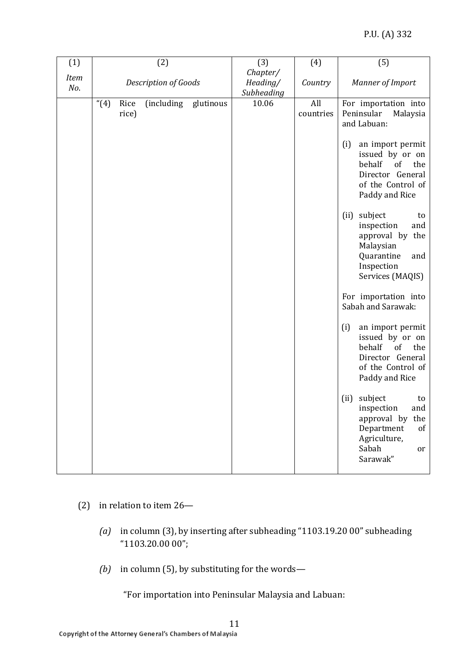| (1)         |                      | (2)                  | (3)<br>Chapter/        | (4)              | (5)                                                                                                                                                                                                      |
|-------------|----------------------|----------------------|------------------------|------------------|----------------------------------------------------------------------------------------------------------------------------------------------------------------------------------------------------------|
| Item<br>No. |                      | Description of Goods | Heading/<br>Subheading | Country          | <b>Manner of Import</b>                                                                                                                                                                                  |
|             | (4)<br>Rice<br>rice) | (including glutinous | 10.06                  | All<br>countries | For importation into<br>Peninsular<br>Malaysia<br>and Labuan:<br>(i)<br>an import permit<br>issued by or on<br>behalf<br>of<br>the<br>Director General<br>of the Control of<br>Paddy and Rice<br>subject |
|             |                      |                      |                        |                  | (ii)<br>to<br>inspection<br>and<br>approval by the<br>Malaysian<br>Quarantine<br>and<br>Inspection<br>Services (MAQIS)                                                                                   |
|             |                      |                      |                        |                  | For importation into<br>Sabah and Sarawak:                                                                                                                                                               |
|             |                      |                      |                        |                  | (i)<br>an import permit<br>issued by or on<br>behalf<br>of<br>the<br>Director General<br>of the Control of<br>Paddy and Rice                                                                             |
|             |                      |                      |                        |                  | subject<br>(ii)<br>to<br>and<br>inspection<br>approval by<br>the<br>Department<br>of<br>Agriculture,<br>Sabah<br>or<br>Sarawak"                                                                          |

- (2) in relation to item 26—
	- *(a)* in column (3), by inserting after subheading "1103.19.20 00" subheading "1103.20.00 00";
	- *(b)* in column (5), by substituting for the words—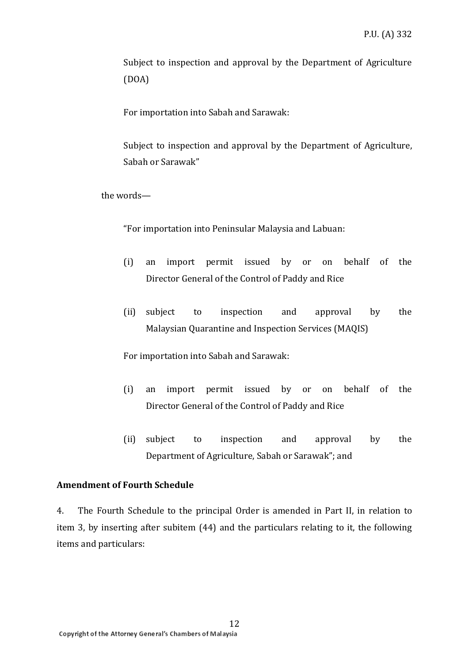Subject to inspection and approval by the Department of Agriculture (DOA)

For importation into Sabah and Sarawak:

Subject to inspection and approval by the Department of Agriculture, Sabah or Sarawak"

the words—

"For importation into Peninsular Malaysia and Labuan:

- (i) an import permit issued by or on behalf of the Director General of the Control of Paddy and Rice
- (ii) subject to inspection and approval by the Malaysian Quarantine and Inspection Services (MAQIS)

For importation into Sabah and Sarawak:

- (i) an import permit issued by or on behalf of the Director General of the Control of Paddy and Rice
- (ii) subject to inspection and approval by the Department of Agriculture, Sabah or Sarawak"; and

#### **Amendment of Fourth Schedule**

4. The Fourth Schedule to the principal Order is amended in Part II, in relation to item 3, by inserting after subitem (44) and the particulars relating to it, the following items and particulars: